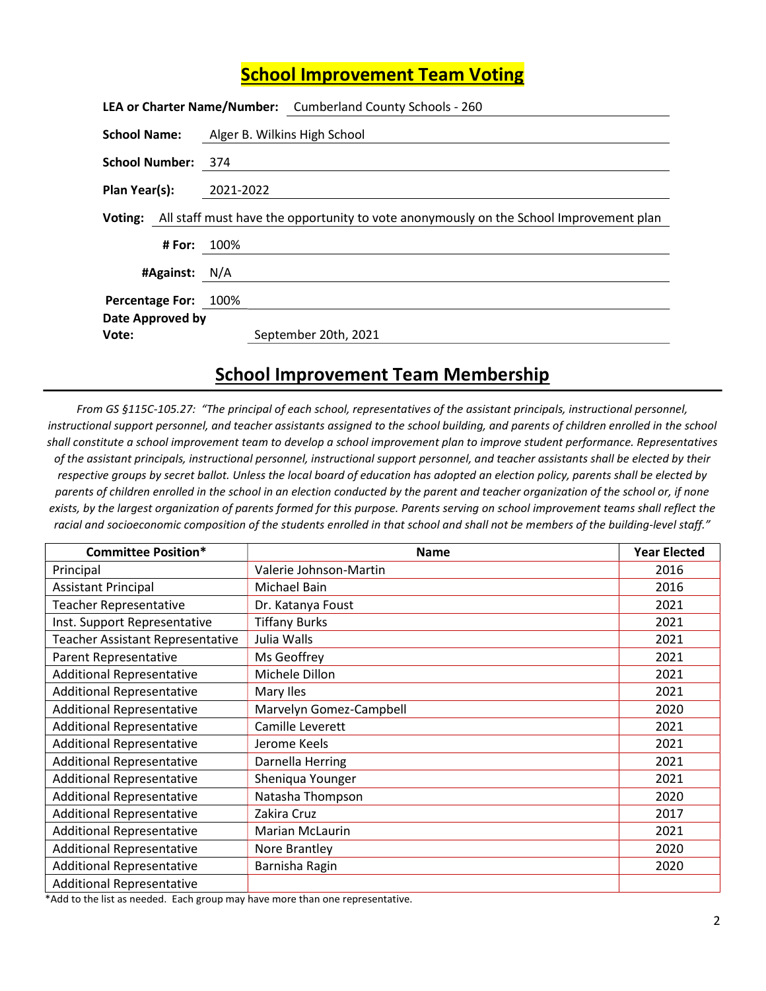## School Improvement Team Voting

|                        |             | LEA or Charter Name/Number: Cumberland County Schools - 260                                           |
|------------------------|-------------|-------------------------------------------------------------------------------------------------------|
| <b>School Name:</b>    |             | Alger B. Wilkins High School                                                                          |
| School Number: 374     |             |                                                                                                       |
| Plan Year(s):          |             | 2021-2022                                                                                             |
|                        |             | <b>Voting:</b> All staff must have the opportunity to vote anonymously on the School Improvement plan |
|                        | # For: 100% |                                                                                                       |
| #Against: $N/A$        |             |                                                                                                       |
| <b>Percentage For:</b> |             | 100%                                                                                                  |
| Date Approved by       |             |                                                                                                       |
| Vote:                  |             | September 20th, 2021                                                                                  |

### School Improvement Team Membership

From GS §115C-105.27: "The principal of each school, representatives of the assistant principals, instructional personnel, instructional support personnel, and teacher assistants assigned to the school building, and parents of children enrolled in the school shall constitute a school improvement team to develop a school improvement plan to improve student performance. Representatives of the assistant principals, instructional personnel, instructional support personnel, and teacher assistants shall be elected by their respective groups by secret ballot. Unless the local board of education has adopted an election policy, parents shall be elected by parents of children enrolled in the school in an election conducted by the parent and teacher organization of the school or, if none exists, by the largest organization of parents formed for this purpose. Parents serving on school improvement teams shall reflect the racial and socioeconomic composition of the students enrolled in that school and shall not be members of the building-level staff."

| <b>Committee Position*</b>              | <b>Name</b>             | <b>Year Elected</b> |
|-----------------------------------------|-------------------------|---------------------|
| Principal                               | Valerie Johnson-Martin  | 2016                |
| <b>Assistant Principal</b>              | Michael Bain            | 2016                |
| <b>Teacher Representative</b>           | Dr. Katanya Foust       | 2021                |
| Inst. Support Representative            | <b>Tiffany Burks</b>    | 2021                |
| <b>Teacher Assistant Representative</b> | Julia Walls             | 2021                |
| Parent Representative                   | Ms Geoffrey             | 2021                |
| <b>Additional Representative</b>        | Michele Dillon          | 2021                |
| <b>Additional Representative</b>        | Mary Iles               | 2021                |
| <b>Additional Representative</b>        | Marvelyn Gomez-Campbell | 2020                |
| <b>Additional Representative</b>        | Camille Leverett        | 2021                |
| <b>Additional Representative</b>        | Jerome Keels            | 2021                |
| <b>Additional Representative</b>        | Darnella Herring        | 2021                |
| <b>Additional Representative</b>        | Sheniqua Younger        | 2021                |
| <b>Additional Representative</b>        | Natasha Thompson        | 2020                |
| <b>Additional Representative</b>        | Zakira Cruz             | 2017                |
| <b>Additional Representative</b>        | Marian McLaurin         | 2021                |
| <b>Additional Representative</b>        | Nore Brantley           | 2020                |
| <b>Additional Representative</b>        | Barnisha Ragin          | 2020                |
| <b>Additional Representative</b>        |                         |                     |

\*Add to the list as needed. Each group may have more than one representative.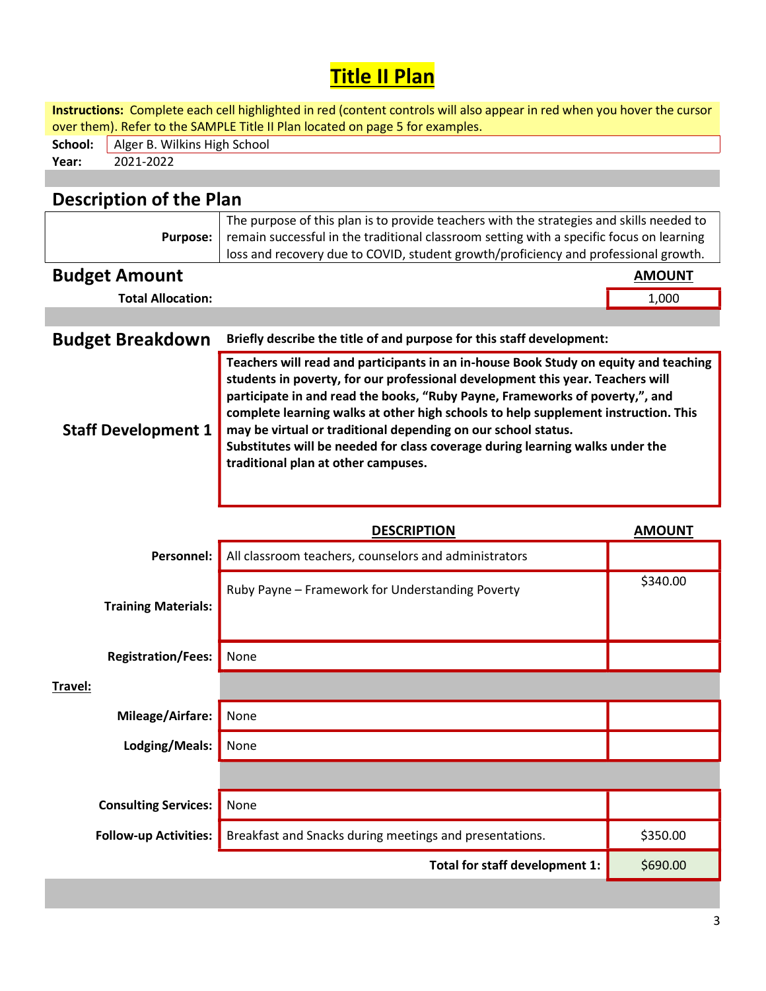# Title II Plan

Instructions: Complete each cell highlighted in red (content controls will also appear in red when you hover the cursor over them). Refer to the SAMPLE Title II Plan located on page 5 for examples.

|       | School:   Alger B. Wilkins High School |
|-------|----------------------------------------|
| Year: | 2021-2022                              |

### Description of the Plan

| loss and recovery due to COVID, student growth/proficiency and professional growth.                      |
|----------------------------------------------------------------------------------------------------------|
| <b>Purpose:</b> remain successful in the traditional classroom setting with a specific focus on learning |
| The purpose of this plan is to provide teachers with the strategies and skills needed to                 |

### **Budget Amount** Amount AMOUNT AMOUNT AMOUNT

Staff Development 1

Total Allocation: 1,000

Budget Breakdown Briefly describe the title of and purpose for this staff development:

Teachers will read and participants in an in-house Book Study on equity and teaching students in poverty, for our professional development this year. Teachers will participate in and read the books, "Ruby Payne, Frameworks of poverty,", and complete learning walks at other high schools to help supplement instruction. This may be virtual or traditional depending on our school status. Substitutes will be needed for class coverage during learning walks under the traditional plan at other campuses.

|                              | <b>DESCRIPTION</b>                                      | <b>AMOUNT</b> |
|------------------------------|---------------------------------------------------------|---------------|
| Personnel:                   | All classroom teachers, counselors and administrators   |               |
| <b>Training Materials:</b>   | Ruby Payne - Framework for Understanding Poverty        | \$340.00      |
| <b>Registration/Fees:</b>    | None                                                    |               |
| Travel:                      |                                                         |               |
| Mileage/Airfare:             | None                                                    |               |
| Lodging/Meals:               | None                                                    |               |
|                              |                                                         |               |
| <b>Consulting Services:</b>  | None                                                    |               |
| <b>Follow-up Activities:</b> | Breakfast and Snacks during meetings and presentations. | \$350.00      |
|                              | Total for staff development 1:                          | \$690.00      |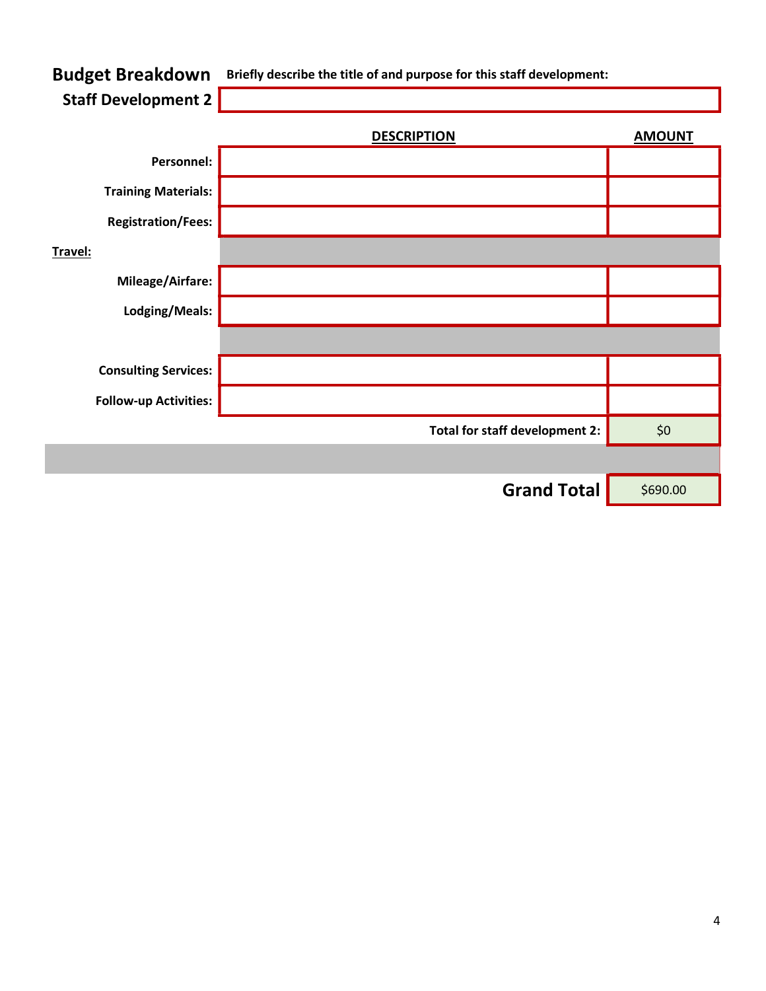Budget Breakdown Briefly describe the title of and purpose for this staff development: